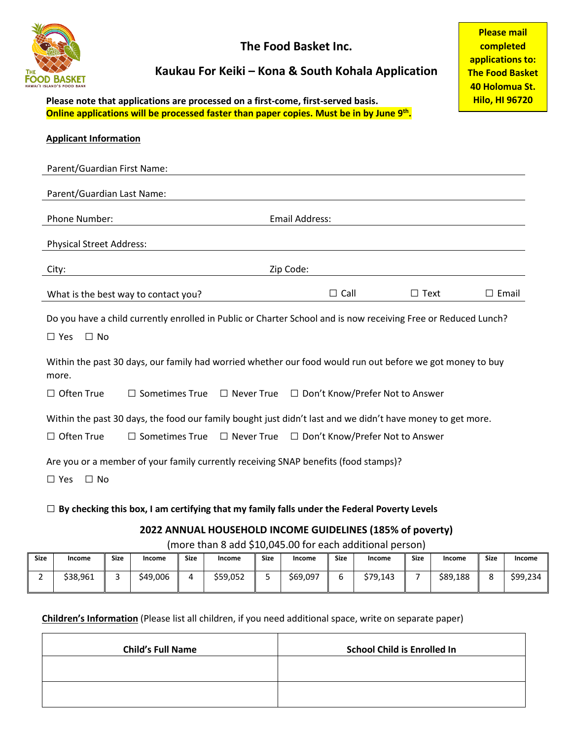

**The Food Basket Inc.**

## **Kaukau For Keiki – Kona & South Kohala Application**

**Please note that applications are processed on a first-come, first-served basis. Online applications will be processed faster than paper copies. Must be in by June 9th.**

| <b>Applicant Information</b>                                                                                       |                                      |                   |                                                                                     |              |  |  |  |
|--------------------------------------------------------------------------------------------------------------------|--------------------------------------|-------------------|-------------------------------------------------------------------------------------|--------------|--|--|--|
| Parent/Guardian First Name:                                                                                        |                                      |                   |                                                                                     |              |  |  |  |
| Parent/Guardian Last Name:                                                                                         |                                      |                   |                                                                                     |              |  |  |  |
| Phone Number:                                                                                                      |                                      |                   | <b>Email Address:</b>                                                               |              |  |  |  |
| <b>Physical Street Address:</b>                                                                                    |                                      |                   |                                                                                     |              |  |  |  |
| City:                                                                                                              |                                      |                   | Zip Code:                                                                           |              |  |  |  |
|                                                                                                                    | What is the best way to contact you? | $\Box$ Call       | $\Box$ Text                                                                         | $\Box$ Email |  |  |  |
| Do you have a child currently enrolled in Public or Charter School and is now receiving Free or Reduced Lunch?     |                                      |                   |                                                                                     |              |  |  |  |
| $\square$ Yes<br>$\Box$ No                                                                                         |                                      |                   |                                                                                     |              |  |  |  |
| Within the past 30 days, our family had worried whether our food would run out before we got money to buy<br>more. |                                      |                   |                                                                                     |              |  |  |  |
| $\Box$ Often True                                                                                                  | $\Box$ Sometimes True                | $\Box$ Never True | □ Don't Know/Prefer Not to Answer                                                   |              |  |  |  |
| Within the past 30 days, the food our family bought just didn't last and we didn't have money to get more.         |                                      |                   |                                                                                     |              |  |  |  |
| $\Box$ Often True                                                                                                  | $\Box$ Sometimes True                | $\Box$ Never True | □ Don't Know/Prefer Not to Answer                                                   |              |  |  |  |
| $\Box$ Yes<br>$\Box$ No                                                                                            |                                      |                   | Are you or a member of your family currently receiving SNAP benefits (food stamps)? |              |  |  |  |

## □ **By checking this box, I am certifying that my family falls under the Federal Poverty Levels**

## **2022 ANNUAL HOUSEHOLD INCOME GUIDELINES (185% of poverty)**

(more than 8 add \$10,045.00 for each additional person)

| _ _ _ _ _ . _ |          |             |          |             |          |             |          |             |          |             |          |               |          |
|---------------|----------|-------------|----------|-------------|----------|-------------|----------|-------------|----------|-------------|----------|---------------|----------|
| <b>Size</b>   | Income   | <b>Size</b> | Income   | <b>Size</b> | Income   | <b>Size</b> | Income   | <b>Size</b> | Income   | <b>Size</b> | Income   | <b>Size</b>   | Income   |
|               | \$38,961 |             | \$49,006 | д           | \$59,052 | ٠           | \$69,097 |             | \$79,143 |             | \$89,188 | $\Omega$<br>Ο | \$99,234 |

**Children's Information** (Please list all children, if you need additional space, write on separate paper)

| <b>Child's Full Name</b> | <b>School Child is Enrolled In</b> |
|--------------------------|------------------------------------|
|                          |                                    |
|                          |                                    |